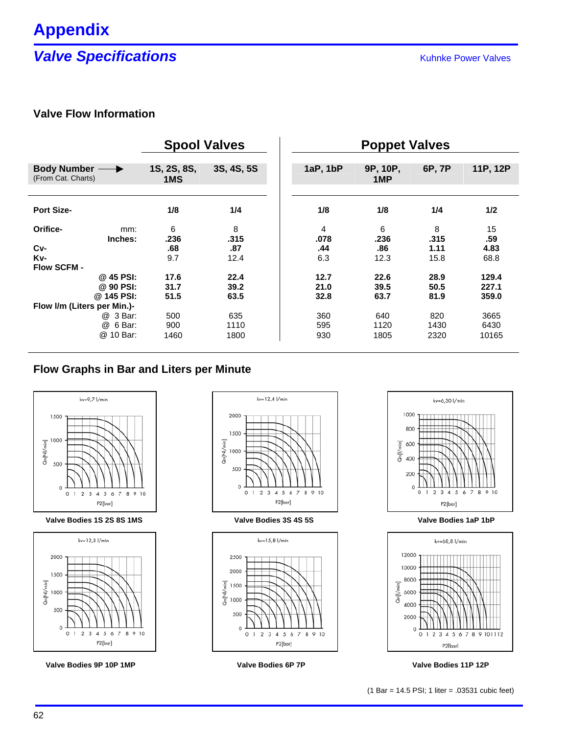## **Valve Specifications Valve Specifications**

## **Valve Flow Information**

|                                     | <b>Spool Valves</b> |            | <b>Poppet Valves</b> |                 |        |          |
|-------------------------------------|---------------------|------------|----------------------|-----------------|--------|----------|
|                                     |                     |            |                      |                 |        |          |
| Body Number -<br>(From Cat. Charts) | 1S, 2S, 8S,<br>1MS  | 3S, 4S, 5S | 1aP, 1bP             | 9P, 10P,<br>1MP | 6P, 7P | 11P, 12P |
|                                     |                     |            |                      |                 |        |          |
| <b>Port Size-</b>                   | 1/8                 | 1/4        | 1/8                  | 1/8             | 1/4    | 1/2      |
| Orifice-<br>mm:                     | 6                   | 8          | 4                    | 6               | 8      | 15       |
| Inches:                             | .236                | .315       | .078                 | .236            | .315   | .59      |
| Cv-                                 | .68                 | .87        | .44                  | .86             | 1.11   | 4.83     |
| Kv-                                 | 9.7                 | 12.4       | 6.3                  | 12.3            | 15.8   | 68.8     |
| Flow SCFM -                         |                     |            |                      |                 |        |          |
| @ 45 PSI:                           | 17.6                | 22.4       | 12.7                 | 22.6            | 28.9   | 129.4    |
| @ 90 PSI:                           | 31.7                | 39.2       | 21.0                 | 39.5            | 50.5   | 227.1    |
| @ 145 PSI:                          | 51.5                | 63.5       | 32.8                 | 63.7            | 81.9   | 359.0    |
| Flow I/m (Liters per Min.)-         |                     |            |                      |                 |        |          |
| @ 3 Bar:                            | 500                 | 635        | 360                  | 640             | 820    | 3665     |
| 6 Bar:<br>@                         | 900                 | 1110       | 595                  | 1120            | 1430   | 6430     |
| @ 10 Bar:                           | 1460                | 1800       | 930                  | 1805            | 2320   | 10165    |

### **Flow Graphs in Bar and Liters per Minute**



**Valve Bodies 1S 2S 8S 1MS Valve Bodies 3S 4S 5S Valve Bodies 1aP 1bP**



**Valve Bodies 9P 10P 1MP Valve Bodies 6P 7P Valve Bodies 11P 12P**